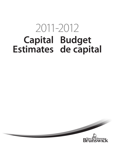# **Capital Budget Estimates de capital** 2011-2012

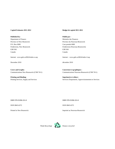#### **Capital Estimates 2011-2012 2012 Budget de capital 2011-2012**

#### **Published by: Publié par :**

Department of Finance Ministère des Finances P.O. Box 6000 Case postale 6000 E3B 5H1 E3B 5H1 Canada Canada

December 2010 décembre 2010

**Cover and Graphs: Couverture et graphiques :**

**Printing and Binding: Imprimerie et reliure :**

Province of New Brunswick Province du Nouveau-Brunswick Fredericton, New Brunswick **Fredericton**, New Brunswick **Fredericton** (Nouveau-Brunswick)

Internet: www.gnb.ca/0024/index-e.asp Internet : www.gnb.ca/0024/index-f.asp

Communications New Brunswick (CNB 7611) Communications Nouveau-Brunswick (CNB 7611)

Printing Services, Supply and Services Services Services Services d'imprimerie, Approvisionnement et Services

ISSN 0845-6372 ISSN 0845-6372

ISBN 978-55396-331-8 8-55396-331-8 ISBN 978-55396-331-8 8-55396-331-8

Printed in New Brunswick Imprimé au Nouveau-Brunswick

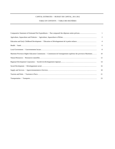#### TABLE OF CONTENTS / TABLE DES MATIÈRES

|                                                                                                                 | $\overline{1}$ |
|-----------------------------------------------------------------------------------------------------------------|----------------|
|                                                                                                                 | $\overline{2}$ |
|                                                                                                                 | $\overline{4}$ |
|                                                                                                                 | 6              |
|                                                                                                                 | 8              |
| Maritime Provinces Higher Education Commission / Commission de l'enseignement supérieur des provinces Maritimes | 10             |
|                                                                                                                 | 12             |
|                                                                                                                 | 14             |
|                                                                                                                 | 16             |
|                                                                                                                 | 18             |
|                                                                                                                 | 21             |
|                                                                                                                 | 23             |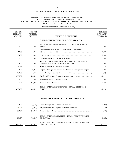#### COMPARATIVE STATEMENT OF ESTIMATED NET EXPENDITURES / ÉTAT COMPARATIF DES DÉPENSES NETTES PRÉVUES FOR THE YEAR ENDING 31 MARCH 2012 / POUR L'EXERCICE SE TERMINANT LE 31 MARS 2012 CAPITAL ACCOUNT / COMPTE DE CAPITAL

(In thousands of dollars / En milliers de dollars)

| 2010-2011<br><b>ESTIMATE</b> /<br><b>PRÉVISIONS</b> | 2010-2011<br><b>REVISED</b> /<br><b>RÉVISÉES</b> | DEPARTMENT / MINISTÈRE                                                                                             | 2011-2012<br><b>ESTIMATE</b> /<br><b>PRÉVISIONS</b> |
|-----------------------------------------------------|--------------------------------------------------|--------------------------------------------------------------------------------------------------------------------|-----------------------------------------------------|
|                                                     |                                                  | <b>CAPITAL EXPENDITURES / DÉPENSES EN CAPITAL</b>                                                                  |                                                     |
| 400                                                 | 400                                              | Agriculture, Aquaculture and Fisheries / Agriculture, Aquaculture et                                               | 400                                                 |
| 1.000                                               | 1.000                                            | Education and Early Childhood Development / Éducation et                                                           | 2,500                                               |
| 10,000                                              | 10,000                                           |                                                                                                                    | 15,000                                              |
| 500                                                 | 500                                              |                                                                                                                    | 500                                                 |
| 15,000                                              | 15,000                                           | Maritime Provinces Higher Education Commission / Commission de<br>l'enseignement supérieur des provinces Maritimes | 7,500                                               |
| 3,134                                               | 2,534                                            |                                                                                                                    | 1,370                                               |
| 29,950                                              | 29,950                                           | Regional Development Corporation / Société de développement régional                                               | 4,585                                               |
| 10,600                                              | 10.600                                           |                                                                                                                    | 4.700                                               |
| 385,589                                             | 403,626                                          | Supply and Services / Approvisionnement et Services                                                                | 242,711                                             |
| 500                                                 | 500                                              |                                                                                                                    | 500                                                 |
| 439,382                                             | 466,382                                          |                                                                                                                    | 313,150                                             |
|                                                     |                                                  | TOTAL - CAPITAL EXPENDITURES / TOTAL - DÉPENSES EN                                                                 |                                                     |
| 896,055                                             | 940,492                                          | <b>CAPITAL</b>                                                                                                     | 592,916                                             |

#### **CAPITAL RECOVERIES / RECOUVREMENTS DE CAPITAL**

| (6,600)   | (6,600)   |                                                                          | (3,090)   |
|-----------|-----------|--------------------------------------------------------------------------|-----------|
| (6,275)   | (7, 975)  | Supply and Services / Approvision nemeter of Services                    | (1,344)   |
| (53,802)  | (54,047)  |                                                                          | (44, 961) |
| (66, 677) | (68, 622) | TOTAL - CAPITAL RECOVERIES / TOTAL - RECOUVREMENTS<br>DE CAPITAL         | (49,395)  |
| 829,378   | 871.870   | TOTAL - NET CAPITAL EXPENDITURES / TOTAL - NETTE DES<br>DÉPENSES CAPITAL | 543.521   |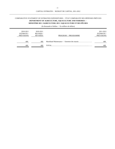## COMPARATIVE STATEMENT OF ESTIMATED EXPENDITURES / ÉTAT COMPARATIF DES DÉPENSES PRÉVUES **DEPARTMENT OF AGRICULTURE, AQUACULTURE AND FISHERIES / MINISTÈRE DE L'AGRICULTURE, DE L'AQUACULTURE ET DES PÊCHES**

| 2010-2011<br><b>ESTIMATE</b> /<br><b>PRÉVISIONS</b> | 2010-2011<br><b>REVISED</b><br><b>RÉVISÉES</b> | PROGRAM / PROGRAMME | 2011-2012<br><b>ESTIMATE</b> /<br><b>PRÉVISIONS</b> |
|-----------------------------------------------------|------------------------------------------------|---------------------|-----------------------------------------------------|
| 400                                                 | 400                                            |                     | 400                                                 |
| 400                                                 | 400                                            | TOTAL.              | 400                                                 |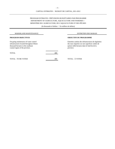# PROGRAM ESTIMATES / PRÉVISIONS BUDGÉTAIRES PAR PROGRAMME MINISTÈRE DE L'AGRICULTURE, DE L'AQUACULTURE ET DES PÊCHES DEPARTMENT OF AGRICULTURE, AQUACULTURE AND FISHERIES /

| <b>MARSHLAND MAINTENANCE</b>                                                                                                                                 |     | <b>ENTRETIEN DES MARAIS</b>                                                                                                                                         |
|--------------------------------------------------------------------------------------------------------------------------------------------------------------|-----|---------------------------------------------------------------------------------------------------------------------------------------------------------------------|
| PROGRAM OBJECTIVES                                                                                                                                           |     | <b>OBJECTIFS DU PROGRAMME</b>                                                                                                                                       |
| On-going maintenance of water control<br>infrastructures located throughout fifteen<br>thousand hectares in the southeast<br>coastal region of the province. |     | Entretien continu des infrastructures de régulation<br>des eaux réparties sur une superficie cotière de<br>quinze mille hectares dans le Sud-Est de la<br>province. |
| TOTAL.                                                                                                                                                       | 400 |                                                                                                                                                                     |
| TOTAL - TO BE VOTED                                                                                                                                          | 400 | TOTAL - À VOTER                                                                                                                                                     |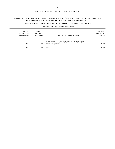## COMPARATIVE STATEMENT OF ESTIMATED EXPENDITURES / ÉTAT COMPARATIF DES DÉPENSES PRÉVUES **DEPARTMENT OF EDUCATION AND EARLY CHILDHOOD DEVELOPMENT / MINISTÈRE DE L'ÉDUCATION ET DU DÉVELOPPEMENT DE LA PETITE ENFANCE**

| 2010-2011<br><b>ESTIMATE</b> /<br><b>PRÉVISIONS</b> | 2010-2011<br><b>REVISED</b> /<br><b>RÉVISÉES</b> | PROGRAM / PROGRAMME                                     | 2011-2012<br><b>ESTIMATE</b><br><b>PRÉVISIONS</b> |
|-----------------------------------------------------|--------------------------------------------------|---------------------------------------------------------|---------------------------------------------------|
| 1.000                                               | 1,000                                            | Public Schools - Capital Equipment / Écoles publiques - | 2,500                                             |
| 1.000                                               | 1.000                                            | <b>TOTAL</b>                                            | 2.500                                             |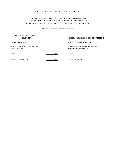## PROGRAM ESTIMATES / PRÉVISIONS BUDGÉTAIRES PAR PROGRAMME DEPARTMENT OF EDUCATION AND EARLY CHILDHOOD DEVELOPMENT / MINISTÈRE DE L'ÉDUCATION ET DU DÉVELOPPEMENT DE LA PETITE ENFANCE

| PUBLIC SCHOOLS - CAPITAL<br><b>EQUIPMENT</b>                          |       | ÉCOLES PUBLIQUES - BIENS D'ÉQUIPEMENT                                             |
|-----------------------------------------------------------------------|-------|-----------------------------------------------------------------------------------|
| <b>PROGRAM OBJECTIVES</b>                                             |       | <b>OBJECTIFS DU PROGRAMME</b>                                                     |
| To equip schools in concert with the capital<br>construction program. |       | Équiper les écoles en fonction du programme de<br>construction d'immobilisations. |
| TOTAL                                                                 | 2.500 | <b>TOTAL</b>                                                                      |
| <b>TOTAL - TO BE VOTED</b>                                            | 2.500 | TOTAL - À VOTER                                                                   |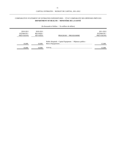# COMPARATIVE STATEMENT OF ESTIMATED EXPENDITURES / ÉTAT COMPARATIF DES DÉPENSES PRÉVUES **DEPARTMENT OF HEALTH / MINISTÈRE DE LA SANTÉ**

| 2010-2011<br><b>ESTIMATE</b> /<br><b>PRÉVISIONS</b> | 2010-2011<br><b>REVISED</b><br><b>RÉVISÉES</b> | PROGRAM / PROGRAMME                                       | 2011-2012<br><b>ESTIMATE</b><br><b>PRÉVISIONS</b> |
|-----------------------------------------------------|------------------------------------------------|-----------------------------------------------------------|---------------------------------------------------|
| 10.000                                              | 10,000                                         | Public Hospitals - Capital Equipment / Hôpitaux publics - | 15.000                                            |
| 10.000                                              | 10,000                                         |                                                           | 15.000                                            |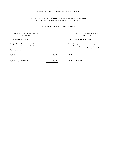# PROGRAM ESTIMATES / PRÉVISIONS BUDGÉTAIRES PAR PROGRAMME DEPARTMENT OF HEALTH / MINISTÈRE DE LA SANTÉ

| PUBLIC HOSPITALS - CAPITAL<br><b>EQUIPMENT</b>                                                                                                          |        | <b>HÔPITAUX PUBLICS - BIENS</b><br><b>D'ÉQUIPEMENT</b>                                                                                                       |
|---------------------------------------------------------------------------------------------------------------------------------------------------------|--------|--------------------------------------------------------------------------------------------------------------------------------------------------------------|
| PROGRAM OBJECTIVES                                                                                                                                      |        | <b>OBJECTIFS DU PROGRAMME</b>                                                                                                                                |
| To equip hospitals in concert with the hospital<br>construction program and fund replacement<br>equipment valued in excess of five<br>thousand dollars. |        | Équiper les hôpitaux en fonction du programme de<br>construction d'hôpitaux et financer l'équipement de<br>remplacement évalué à plus de cinq mille dollars. |
| TOTAL.                                                                                                                                                  | 15,000 | TOTAL                                                                                                                                                        |
| TOTAL - TO BE VOTED                                                                                                                                     | 15,000 | TOTAL - À VOTER                                                                                                                                              |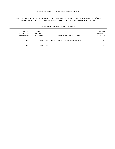# COMPARATIVE STATEMENT OF ESTIMATED EXPENDITURES / ÉTAT COMPARATIF DES DÉPENSES PRÉVUES **DEPARTMENT OF LOCAL GOVERNMENT / MINISTÈRE DES GOUVERNEMENTS LOCAUX**

| 2010-2011<br><b>ESTIMATE</b> /<br><b>PRÉVISIONS</b> | 2010-2011<br><b>REVISED</b> /<br><b>RÉVISÉES</b> | PROGRAM / PROGRAMME                                    | 2011-2012<br><b>ESTIMATE</b><br><b>PRÉVISIONS</b> |
|-----------------------------------------------------|--------------------------------------------------|--------------------------------------------------------|---------------------------------------------------|
| 500                                                 | 500                                              | Local Service Districts / Districts de services locaux | 500                                               |
| 500                                                 | 500                                              | TOTAL.                                                 | 500                                               |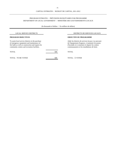# PROGRAM ESTIMATES / PRÉVISIONS BUDGÉTAIRES PAR PROGRAMME DEPARTMENT OF LOCAL GOVERNMENT / MINISTÈRE DES GOUVERNEMENTS LOCAUX

| <b>LOCAL SERVICE DISTRICTS</b>                                                                                                                                                                       |     | DISTRICTS DE SERVICES LOCAUX                                                                                                                                                                                     |
|------------------------------------------------------------------------------------------------------------------------------------------------------------------------------------------------------|-----|------------------------------------------------------------------------------------------------------------------------------------------------------------------------------------------------------------------|
| <b>PROGRAM OBJECTIVES</b>                                                                                                                                                                            |     | <b>OBJECTIFS DU PROGRAMME</b>                                                                                                                                                                                    |
| To assist local service districts in the purchase<br>of emergency equipment and maintenance of<br>fire halls as well as construction and repairs for<br>community centers and recreation facilities. |     | Aider les districts de services locaux à se procurer<br>de l'équipement d'urgence, à maintenir les postes<br>d'incendie et à construire et réparer les centres<br>communautaires et les installations de loisir. |
| TOTAL.                                                                                                                                                                                               | 500 | <b>TOTAL</b>                                                                                                                                                                                                     |
| TOTAL - TO BE VOTED                                                                                                                                                                                  | 500 | TOTAL - À VOTER                                                                                                                                                                                                  |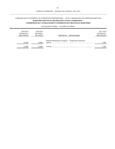## COMPARATIVE STATEMENT OF ESTIMATED EXPENDITURES / ÉTAT COMPARATIF DES DÉPENSES PRÉVUES **MARITIME PROVINCES HIGHER EDUCATION COMMISSION / COMMISSION DE L'ENSEIGNEMENT SUPÉRIEUR DES PROVINCES MARITIMES**

| 2010-2011<br><b>ESTIMATE</b> /<br><b>PRÉVISIONS</b> | 2010-2011<br><b>REVISED</b> /<br>RÉVISÉES | PROGRAM / PROGRAMME                                  | 2011-2012<br><b>ESTIMATE</b><br>PRÉVISIONS |
|-----------------------------------------------------|-------------------------------------------|------------------------------------------------------|--------------------------------------------|
| 15,000                                              | 15,000                                    | Deferred Maintenance Program / Programme d'entretien | 7.500                                      |
| 15,000                                              | 15,000                                    |                                                      | 7,500                                      |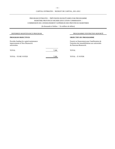## PROGRAM ESTIMATES / PRÉVISIONS BUDGÉTAIRES PAR PROGRAMME MARITIME PROVINCES HIGHER EDUCATION COMMISSION / COMMISSION DE L'ENSEIGNEMENT SUPÉRIEUR DES PROVINCES MARITIMES

| DEFERRED MAINTENANCE PROGRAM                                                               |       | PROGRAMME D'ENTRETIEN REPORTÉ                                                                                             |  |
|--------------------------------------------------------------------------------------------|-------|---------------------------------------------------------------------------------------------------------------------------|--|
| PROGRAM OBJECTIVES                                                                         |       | <b>OBJECTIFS DU PROGRAMME</b>                                                                                             |  |
| Provides funding for capital maintenance<br>improvements to New Brunswick<br>universities. |       | Fournir un financement pour l'amélioration de<br>l'entretien des immobilisations aux universités<br>du Nouveau-Brunswick. |  |
| TOTAL                                                                                      | 7,500 | TOTAL                                                                                                                     |  |
| TOTAL - TO BE VOTED                                                                        | 7,500 | TOTAL - À VOTER                                                                                                           |  |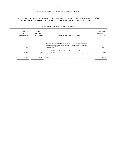# COMPARATIVE STATEMENT OF ESTIMATED EXPENDITURES / ÉTAT COMPARATIF DES DÉPENSES PRÉVUES **DEPARTMENT OF NATURAL RESOURCES / MINISTÈRE DES RESSOURCES NATURELLES**

| (In thousands of dollars / En milliers de dollars)  |                                           |                                                                                                                        |                                                     |
|-----------------------------------------------------|-------------------------------------------|------------------------------------------------------------------------------------------------------------------------|-----------------------------------------------------|
| 2010-2011<br><b>ESTIMATE</b> /<br><b>PRÉVISIONS</b> | 2010-2011<br><b>REVISED</b> /<br>RÉVISÉES | PROGRAM / PROGRAMME                                                                                                    | 2011-2012<br><b>ESTIMATE</b> /<br><b>PRÉVISIONS</b> |
| 1,254                                               | 654                                       | Musquash Watershed Infrastructure - Capital Improvements /<br>Bassin hydrographique Musquash - Améliorations des biens | 1,060                                               |
| 1.880                                               | 1.880                                     | Sentier NB Trail Infrastructure / Infrastructure du                                                                    | 310                                                 |
| 3,134                                               | 2,534                                     | TOTAL.                                                                                                                 | 1,370                                               |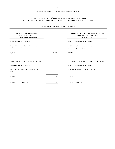# PROGRAM ESTIMATES / PRÉVISIONS BUDGÉTAIRES PAR PROGRAMME DEPARTMENT OF NATURAL RESOURCES / MINISTÈRE DES RESSOURCES NATURELLES

| (In thousands of dollars / En milliers de dollars)                           |       |                                                                                   |  |  |
|------------------------------------------------------------------------------|-------|-----------------------------------------------------------------------------------|--|--|
| <b>MUSQUASH WATERSHED</b><br><b>INFRASTRUCTURE -</b><br>CAPITAL IMPROVEMENTS |       | BASSIN HYDROGRAPHIQUE MUSQUASH -<br>AMÉLIORATIONS DES BIENS<br><b>IMMOBILIERS</b> |  |  |
| PROGRAM OBJECTIVES                                                           |       | <b>OBJECTIFS DU PROGRAMME</b>                                                     |  |  |
| To provide for the betterment of the Musquash<br>Watershed Infrastructures.  |       | Améliorer les infrastructures du bassin<br>hydrographique Musquash.               |  |  |
| <b>TOTAL</b>                                                                 | 1,060 | <b>TOTAL</b>                                                                      |  |  |
| <b>SENTIER NB TRAIL INFRASTRUCTURE</b>                                       |       | <b>INFRASTRUCTURE DU SENTIER NB TRAIL</b>                                         |  |  |
| <b>PROGRAM OBJECTIVES</b>                                                    |       | <b>OBJECTIFS DU PROGRAMME</b>                                                     |  |  |
| To provide for major repairs of Sentier NB<br>Trail.                         |       | Réparations majeures du Sentier NB Trail.                                         |  |  |
| <b>TOTAL</b>                                                                 | 310   | <b>TOTAL</b>                                                                      |  |  |
| <b>TOTAL - TO BE VOTED</b>                                                   | 1,370 | TOTAL - À VOTER                                                                   |  |  |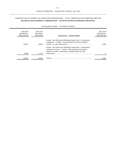# COMPARATIVE STATEMENT OF ESTIMATED EXPENDITURES / ÉTAT COMPARATIF DES DÉPENSES PRÉVUES **REGIONAL DEVELOPMENT CORPORATION / SOCIÉTÉ DE DÉVELOPPEMENT RÉGIONAL**

| 2010-2011<br><b>ESTIMATE</b> /<br><b>PRÉVISIONS</b> |        | 2010-2011<br><b>REVISED</b> /<br>RÉVISÉES | PROGRAMME<br>PROGRAM /                                                                                                                                                                       | 2011-2012<br>ESTIMATE /<br><b>PRÉVISIONS</b> |
|-----------------------------------------------------|--------|-------------------------------------------|----------------------------------------------------------------------------------------------------------------------------------------------------------------------------------------------|----------------------------------------------|
|                                                     | 20.350 | 18.830                                    | Canada - New Brunswick Building Canada Fund - Communities<br>Component / Canada - Nouveau-Brunswick Fonds chantiers                                                                          | 4.585                                        |
|                                                     | 9,600  | 11,120                                    | Canada - New Brunswick Building Canada Fund - Communities<br>Component Top-up / Canada - Nouveau-Brunswick Fonds<br>chantiers Canada - Financement complémentaire du volet<br>collectivités. | 0                                            |
|                                                     | 29,950 | 29,950                                    |                                                                                                                                                                                              | 4,585                                        |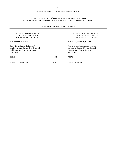# REGIONAL DEVELOPMENT CORPORATION / SOCIÉTÉ DE DÉVELOPPEMENT RÉGIONAL PROGRAM ESTIMATES / PRÉVISIONS BUDGÉTAIRES PAR PROGRAMME

| <b>CANADA - NEW BRUNSWICK</b><br>BUILDING CANADA FUND -<br><b>COMMUNITIES COMPONENT</b>                                                        |       | CANADA - NOUVEAU-BRUNSWICK<br><b>FONDS CHANTIERS CANADA -</b><br>LE VOLET COLLECTIVITÉS                                                     |
|------------------------------------------------------------------------------------------------------------------------------------------------|-------|---------------------------------------------------------------------------------------------------------------------------------------------|
| <b>PROGRAM OBJECTIVES</b>                                                                                                                      |       | <b>OBJECTIFS DU PROGRAMME</b>                                                                                                               |
| To provide funding for the Province's<br>contribution to the Canada - New Brunswick<br><b>Building Canada Fund - Communities</b><br>Component. |       | Financer la contribution du gouvernement<br>provincial au Canada - Nouveau-Brunswick<br>Fonds chantiers Canada - Le volet<br>collectivités. |
| <b>TOTAL</b>                                                                                                                                   | 4.585 | TOTAL                                                                                                                                       |
| <b>TOTAL - TO BE VOTED</b>                                                                                                                     | 4.585 | TOTAL - À VOTER                                                                                                                             |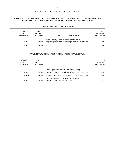## COMPARATIVE STATEMENT OF ESTIMATED EXPENDITURES / ÉTAT COMPARATIF DES DÉPENSES PRÉVUES **DEPARTMENT OF SOCIAL DEVELOPMENT / MINISTÈRE DU DÉVELOPPEMENT SOCIAL**

| (In thousands of dollars / En milliers de dollars) |                                                  |                                                                                                                                                                                                                               |                                                     |
|----------------------------------------------------|--------------------------------------------------|-------------------------------------------------------------------------------------------------------------------------------------------------------------------------------------------------------------------------------|-----------------------------------------------------|
| 2010-2011<br>ESTIMATE /<br><b>PRÉVISIONS</b>       | 2010-2011<br><b>REVISED</b> /<br><b>RÉVISÉES</b> | PROGRAM / PROGRAMME                                                                                                                                                                                                           | 2011-2012<br><b>ESTIMATE</b> /<br><b>PRÉVISIONS</b> |
| 10,600                                             | 10,600                                           | Public Housing - Capital Renovations and Repairs /<br>Logement public - rénovations et réparations des installations                                                                                                          | 4,700                                               |
| 10.600                                             | 10,600                                           | TOTAL Express the contract of the contract of the contract of the contract of the contract of the contract of the contract of the contract of the contract of the contract of the contract of the contract of the contract of | 4.700                                               |

#### SUPPLEMENTARY INFORMATION / INFORMATIONS SUPPLÉMENTAIRES

| 2010-2011<br><b>ESTIMATE</b> /<br><b>PRÉVISIONS</b> | 2010-2011<br><b>REVISED</b> /<br><b>RÉVISÉES</b> |                                                               | 2011-2012<br><b>ESTIMATE</b> /<br><b>PRÉVISIONS</b> |
|-----------------------------------------------------|--------------------------------------------------|---------------------------------------------------------------|-----------------------------------------------------|
| 10.600                                              | 10.600                                           | Gross Capital Budget for the Department / Budget              | 4,700                                               |
| (6,600)                                             | (6,600)                                          | Total - Capital Recoveries / Total - Recouvrements de capital | (3,090)                                             |
| 4,000                                               | 4,000                                            | Net Capital Budget for the Department / Budget                | 1,610                                               |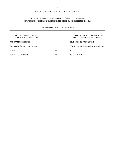# PROGRAM ESTIMATES / PRÉVISIONS BUDGÉTAIRES PAR PROGRAMME DEPARTMENT OF SOCIAL DEVELOPMENT / MINISTÈRE DU DÉVELOPPEMENT SOCIAL

|       | LOGEMENT PUBLIC - RÉNOVATIONS ET<br>RÉPARATIONS DES INSTALLATIONS |
|-------|-------------------------------------------------------------------|
|       | <b>OBJECTIFS DU PROGRAMME</b>                                     |
|       | Rénover et mise à niveau des logements publiques.                 |
| 4,700 | TOTAL                                                             |
| 4,700 | TOTAL - À VOTER                                                   |
|       |                                                                   |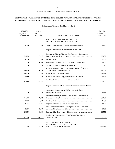# COMPARATIVE STATEMENT OF ESTIMATED EXPENDITURES / ÉTAT COMPARATIF DES DÉPENSES PRÉVUES **DEPARTMENT OF SUPPLY AND SERVICES / MINISTÈRE DE L'APPROVISIONNEMENT ET DES SERVICES**

| 2011-2012<br><b>ESTIMATE</b> /<br><b>PRÉVISIONS</b> | PROGRAM / PROGRAMME                                                    | 2010-2011<br>2010-2011<br>ESTIMATE /<br>REVISED /<br>RÉVISÉES<br><b>PRÉVISIONS</b> |  |
|-----------------------------------------------------|------------------------------------------------------------------------|------------------------------------------------------------------------------------|--|
|                                                     | PUBLIC WORKS AND INFRASTRUCTURE /<br>TRAVAUX PUBLICS ET INFRASTRUCTURE |                                                                                    |  |
| 3.050                                               | Capital Administration / Gestion des immobilisations                   | 2,750<br>3,250                                                                     |  |
|                                                     | <b>Capital Construction / Installations permanentes</b>                |                                                                                    |  |
| 65,800                                              | Education and Early Childhood Development / Éducation et               | 72,750<br>77,417                                                                   |  |
| 37,500                                              |                                                                        | 64,935<br>51,600                                                                   |  |
| 32,000                                              | Justice and Consumer Affairs / Justice et Consommation                 | 81,660<br>66,000                                                                   |  |
| 190                                                 |                                                                        | $\boldsymbol{0}$<br>$\boldsymbol{0}$                                               |  |
| 17,381                                              | Post-Secondary Education, Training and Labour / Éducation              | 78,718<br>76,255                                                                   |  |
| 21,584                                              |                                                                        | 40,500<br>27,248                                                                   |  |
| 6,471                                               | Supply and Services / Approvisionnement et Services                    | 5,340<br>51,240                                                                    |  |
| 180,926                                             | Total Capital Construction / Total des installations                   | 341,440<br>352,223                                                                 |  |
|                                                     | Capital Improvements / Améliorations des biens immobiliers             |                                                                                    |  |
| 1,585                                               | Agriculture, Aquaculture and Fisheries / Agriculture,                  | $\boldsymbol{0}$<br>$\boldsymbol{0}$                                               |  |
| 30,000                                              | Education and Early Childhood Development / Éducation et               | 21,900<br>20,699                                                                   |  |
| 4,400                                               |                                                                        | 4,400<br>4,400                                                                     |  |
| 1,000                                               |                                                                        | 2,704<br>2,704                                                                     |  |
| 2,000                                               | Post-Secondary Education, Training and Labour / Éducation              | 2,000<br>2,000                                                                     |  |
| 19,750                                              | Supply and Services / Approvisionnement et Services                    | 10,395<br>18,350                                                                   |  |
| 58,735                                              | Total Capital Improvements / Total des améliorations des               | 41,399<br>48,153                                                                   |  |
| 242,711                                             | TOTAL - PUBLIC WORKS AND<br>INFRASTRUCTURE / TOTAL - TRAVAUX           | 385,589<br>403,626                                                                 |  |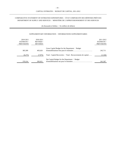# COMPARATIVE STATEMENT OF ESTIMATED EXPENDITURES / ÉTAT COMPARATIF DES DÉPENSES PRÉVUES DEPARTMENT OF SUPPLY AND SERVICES / MINISTÈRE DE L'APPROVISIONNEMENT ET DES SERVICES

(In thousands of dollars / En milliers de dollars)

#### SUPPLEMENTARY INFORMATION / INFORMATIONS SUPPLÉMENTAIRES

| 2010-2011<br><b>ESTIMATE</b> / | 2010-2011<br><b>REVISED</b> / |                                                               | 2011-2012<br><b>ESTIMATE</b> / |
|--------------------------------|-------------------------------|---------------------------------------------------------------|--------------------------------|
| <b>PRÉVISIONS</b>              | RÉVISÉES                      |                                                               | <b>PRÉVISIONS</b>              |
| 385,589                        | 403.626                       | Gross Capital Budget for the Department / Budget              | 242,711                        |
| (6,275)                        | (7,975)                       | Total - Capital Recoveries / Total - Recouvrements de capital | (1, 344)                       |
| 379.314                        | 395.651                       | Net Capital Budget for the Department / Budget                | 241,367                        |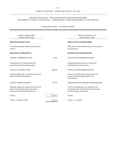#### DEPARTMENT OF SUPPLY AND SERVICES / MINISTÈRE DE L'APPROVISIONNEMENT ET DES SERVICES PROGRAM ESTIMATES / PRÉVISIONS BUDGÉTAIRES PAR PROGRAMME

| PUBLIC WORKS AND<br><b>INFRASTRUCTURE</b>                                                                                            |         | <b>TRAVAUX PUBLICS ET</b><br><b>INFRASTRUCTURE</b>                                                                                      |
|--------------------------------------------------------------------------------------------------------------------------------------|---------|-----------------------------------------------------------------------------------------------------------------------------------------|
| <b>PROGRAM OBJECTIVES</b>                                                                                                            |         | <b>OBJECTIFS DU PROGRAMME</b>                                                                                                           |
| To provide planning, design and construction<br>services.                                                                            |         | Offrir des services de planification, de conception et<br>de construction.                                                              |
| <b>PROGRAM COMPONENTS</b>                                                                                                            |         | ÉLÉMENTS DU PROGRAMME                                                                                                                   |
| <b>CAPITAL ADMINISTRATION</b>                                                                                                        | 3,050   | <b>GESTION DES IMMOBILISATIONS</b>                                                                                                      |
| Administration of capital construction,<br>improvement and renovation projects.                                                      |         | Administration des projets de construction,<br>d'amélioration et de rénovation.                                                         |
| <b>CAPITAL CONSTRUCTION</b>                                                                                                          | 180,926 | <b>INSTALLATIONS PERMANENTES</b>                                                                                                        |
| Planning, design and construction services for<br>public works and infrastructure.                                                   |         | Services de planification, de conception et de<br>construction d'immeubles publics et de<br>l'infrastructure.                           |
| <b>CAPITAL IMPROVEMENTS</b>                                                                                                          | 58,735  | AMÉLIORATIONS DES BIENS IMMOBILIERS                                                                                                     |
| Planning, design and construction services for<br>projects involving the improvement and<br>renovation of provincial infrastructure. |         | Services de planification, de conception et de<br>construction pour l'amélioration et la rénovation<br>de l'infrastructure provinciale. |
| <b>TOTAL</b>                                                                                                                         | 242,711 | <b>TOTAL</b>                                                                                                                            |
| <b>TOTAL - TO BE VOTED</b>                                                                                                           | 242,711 | TOTAL - À VOTER                                                                                                                         |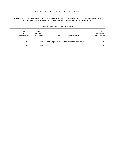# COMPARATIVE STATEMENT OF ESTIMATED EXPENDITURES / ÉTAT COMPARATIF DES DÉPENSES PRÉVUES  **DEPARTMENT OF TOURISM AND PARKS / MINISTÈRE DU TOURISME ET DES PARCS**

| 2010-2011<br><b>ESTIMATE</b> /<br><b>PRÉVISIONS</b> | 2010-2011<br><b>REVISED</b> /<br><b>RÉVISÉES</b> | PROGRAM / PROGRAMME | 2011-2012<br><b>ESTIMATE</b><br><b>PRÉVISIONS</b> |
|-----------------------------------------------------|--------------------------------------------------|---------------------|---------------------------------------------------|
| 500                                                 | 500                                              |                     | 500                                               |
| 500                                                 | 500                                              | <b>TOTAL</b>        | 500                                               |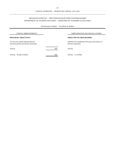# PROGRAM ESTIMATES / PRÉVISIONS BUDGÉTAIRES PAR PROGRAMME DEPARTMENT OF TOURISM AND PARKS / MINISTÈRE DU TOURISME ET DES PARCS

| CAPITAL IMPROVEMENTS                                                              |     | AMÉLIORATION DES INSTALLATIONS                                                |
|-----------------------------------------------------------------------------------|-----|-------------------------------------------------------------------------------|
| PROGRAM OBJECTIVES                                                                |     | <b>OBJECTIFS DU PROGRAMME</b>                                                 |
| To carry out capital improvements to<br>provincial parks and tourism attractions. |     | Améliorer les installations des parcs provinciaux et<br>diverses attractions. |
| TOTAL                                                                             | 500 | <b>TOTAL</b>                                                                  |
| TOTAL - TO BE VOTED                                                               | 500 | TOTAL - À VOTER                                                               |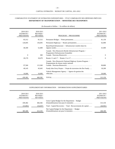# COMPARATIVE STATEMENT OF ESTIMATED EXPENDITURES / ÉTAT COMPARATIF DES DÉPENSES PRÉVUES **DEPARTMENT OF TRANSPORTATION / MINISTÈRE DES TRANSPORTS**

| 2010-2011<br><b>ESTIMATE</b> /<br><b>PRÉVISIONS</b> | 2010-2011<br><b>REVISED</b> /<br><b>RÉVISÉES</b> | PROGRAM / PROGRAMME                                                                               | 2011-2012<br>ESTIMATE /<br><b>PRÉVISIONS</b> |
|-----------------------------------------------------|--------------------------------------------------|---------------------------------------------------------------------------------------------------|----------------------------------------------|
| 83,312                                              | 81,512                                           |                                                                                                   | 81,150                                       |
| 126,695                                             | 136,695                                          |                                                                                                   | 62,000                                       |
| 46,500                                              | 52,400                                           | Rural Road Infrastructure / Infrastructure routière dans les                                      | 41,000                                       |
| $\Omega$                                            | 300                                              | Canada - New Brunswick Border Infrastructure Program /<br>Programme d'infrastructure frontalière  | $\Omega$                                     |
| 20,170                                              | 18,470                                           |                                                                                                   | $\Omega$                                     |
| 97,560                                              | 115,360                                          | Canada - New Brunswick National Highway System Program /<br>Programmme du réseau routier national | 90,800                                       |
| 49,145                                              | 45,645                                           | Fundy Isles Ferry Project / Projet de traversiers des îles Fundy                                  | 18,200                                       |
| 16,000                                              | 16,000                                           | Vehicle Management Agency / Agence de gestion des                                                 | 20,000                                       |
| 439,382                                             | 466,382                                          |                                                                                                   | 313,150                                      |

(In thousands of dollars / En milliers de dollars)

#### SUPPLEMENTARY INFORMATION / INFORMATIONS SUPPLÉMENTAIRES

| 2010-2011<br><b>ESTIMATE</b> /<br><b>PRÉVISIONS</b> | 2010-2011<br><b>REVISED</b> /<br>RÉVISÉES |                                                               | 2011-2012<br><b>ESTIMATE</b> /<br><b>PRÉVISIONS</b> |
|-----------------------------------------------------|-------------------------------------------|---------------------------------------------------------------|-----------------------------------------------------|
| 439.382                                             | 466.382                                   | Gross Capital Budget for the Department / Budget              | 313,150                                             |
| (53,802)                                            | (54,047)                                  | Total - Capital Recoveries / Total - Recouvrements de capital | (44, 961)                                           |
| 385,580                                             | 412,335                                   | Net Capital Budget for the Department / Budget                | 268,189                                             |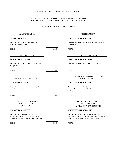## PROGRAM ESTIMATES / PRÉVISIONS BUDGÉTAIRES PAR PROGRAMME DEPARTMENT OF TRANSPORTATION / MINISTÈRE DES TRANSPORTS

| PERMANENT BRIDGES                                                                                                                        |        | PONTS PERMANENTS                                                                                                                                             |
|------------------------------------------------------------------------------------------------------------------------------------------|--------|--------------------------------------------------------------------------------------------------------------------------------------------------------------|
| <b>PROGRAM OBJECTIVES</b>                                                                                                                |        | <b>OBJECTIFS DU PROGRAMME</b>                                                                                                                                |
| To provide for the construction of bridges,<br>ferries and ferry landings.                                                               |        | Permettre la construction de ponts, de traversiers et de<br>débarcadères.                                                                                    |
| <b>TOTAL</b>                                                                                                                             | 81,150 | <b>TOTAL</b>                                                                                                                                                 |
| PERMANENT HIGHWAYS                                                                                                                       |        | ROUTES PERMANENTES                                                                                                                                           |
| <b>PROGRAM OBJECTIVES</b>                                                                                                                |        | <b>OBJECTIFS DU PROGRAMME</b>                                                                                                                                |
| To provide for the construction and upgrading<br>of highways.                                                                            |        | Permettre la construction et la réfection de routes.                                                                                                         |
| <b>TOTAL</b>                                                                                                                             | 62,000 | <b>TOTAL</b>                                                                                                                                                 |
| RURAL ROAD INFRASTRUCTURE                                                                                                                |        | <b>INFRASTRUCTURE ROUTIÈRE DANS</b><br>LES RÉGIONS RURALES                                                                                                   |
| PROGRAM OBJECTIVES                                                                                                                       |        | <b>OBJECTIFS DU PROGRAMME</b>                                                                                                                                |
| To provide for road infrastructure needs of<br>rural New Brunswick.                                                                      |        | Répondre aux besoins des régions rurales du<br>Nouveau-Brunswick en matière d'infrastructure<br>routière.                                                    |
| <b>TOTAL</b>                                                                                                                             | 41,000 | <b>TOTAL</b>                                                                                                                                                 |
| <b>CANADA - NEW BRUNSWICK</b><br>NATIONAL HIGHWAY<br><b>SYSTEM PROGRAM</b>                                                               |        | PROGRAMME DU RÉSEAU<br>ROUTIER NATIONAL<br>CANADA - NOUVEAU-BRUNSWICK                                                                                        |
| PROGRAM OBJECTIVES                                                                                                                       |        | <b>OBJECTIFS DU PROGRAMME</b>                                                                                                                                |
| To provide for highway and bridge construction<br>projects approved under the Canada - New<br>Brunswick National Highway System Program. |        | Soutenir les projets de construction de routes et de<br>ponts approuvés dans le cadre du Programme du réseau<br>routier national Canada - Nouveau-Brunswick. |
| <b>TOTAL</b>                                                                                                                             | 90.800 | <b>TOTAL</b>                                                                                                                                                 |